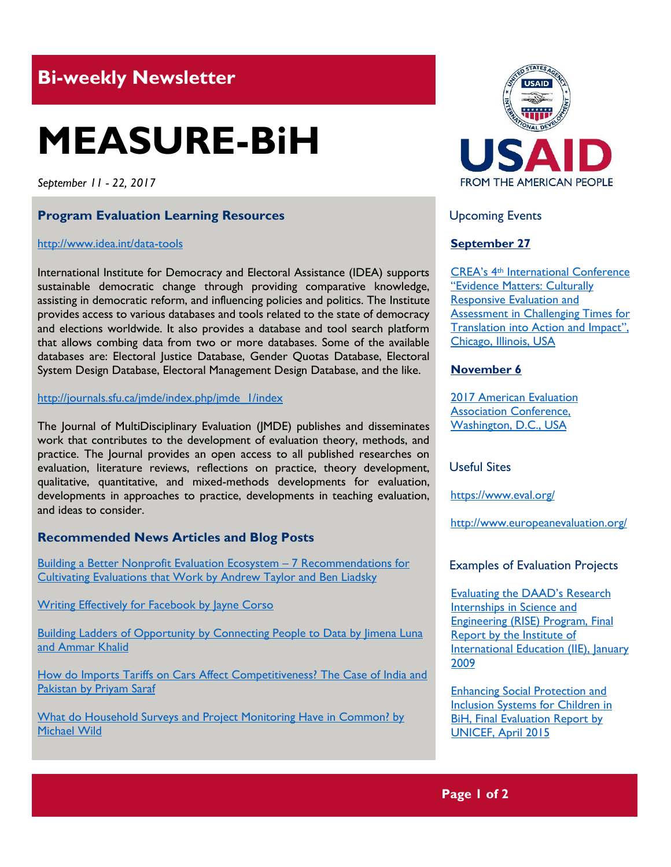# **Bi-weekly Newsletter**

# **MEASURE-BiH**

*September 11 - 22, 2017*

# **Program Evaluation Learning Resources**

#### <http://www.idea.int/data-tools>

International Institute for Democracy and Electoral Assistance (IDEA) supports sustainable democratic change through providing comparative knowledge, assisting in democratic reform, and influencing policies and politics. The Institute provides access to various databases and tools related to the state of democracy and elections worldwide. It also provides a database and tool search platform that allows combing data from two or more databases. Some of the available databases are: Electoral Justice Database, Gender Quotas Database, Electoral System Design Database, Electoral Management Design Database, and the like.

### [http://journals.sfu.ca/jmde/index.php/jmde\\_1/index](http://journals.sfu.ca/jmde/index.php/jmde_1/index)

The Journal of MultiDisciplinary Evaluation (JMDE) publishes and disseminates work that contributes to the development of evaluation theory, methods, and practice. The Journal provides an open access to all published researches on evaluation, literature reviews, reflections on practice, theory development, qualitative, quantitative, and mixed-methods developments for evaluation, developments in approaches to practice, developments in teaching evaluation, and ideas to consider.

# **Recommended News Articles and Blog Posts**

[Building a Better Nonprofit Evaluation Ecosystem](http://aea365.org/blog/building-a-better-nonprofit-evaluation-ecosystem-7-recommendations-for-cultivating-evaluations-that-work-by-andrew-taylor-and-ben-liadsky/) – 7 Recommendations for [Cultivating Evaluations that Work by Andrew Taylor and Ben Liadsky](http://aea365.org/blog/building-a-better-nonprofit-evaluation-ecosystem-7-recommendations-for-cultivating-evaluations-that-work-by-andrew-taylor-and-ben-liadsky/)

[Writing Effectively for Facebook by Jayne Corso](http://aea365.org/blog/writing-effectively-for-facebook-by-jayne-corso/)

[Building Ladders of Opportunity by Connecting People to Data by Jimena Luna](https://blogs.worldbank.org/jobs/building-ladders-opportunity-connecting-people-data)  [and Ammar Khalid](https://blogs.worldbank.org/jobs/building-ladders-opportunity-connecting-people-data)

[How do Imports Tariffs on Cars Affect Competitiveness? The Case of India and](https://blogs.worldbank.org/psd/fewer-distortions-increased-competitiveness-case-automotive-sector-india-and-pakistan)  [Pakistan by Priyam Saraf](https://blogs.worldbank.org/psd/fewer-distortions-increased-competitiveness-case-automotive-sector-india-and-pakistan)

[What do Household Surveys and Project Monitoring Have in Common? by](https://blogs.worldbank.org/opendata/what-do-household-surveys-and-project-monitoring-have-common)  [Michael Wild](https://blogs.worldbank.org/opendata/what-do-household-surveys-and-project-monitoring-have-common)



Upcoming Events

# **September 27**

CREA's 4th [International Conference](http://mande.co.uk/conferences/?event_id1=32)  ["Evidence Matters: Culturally](http://mande.co.uk/conferences/?event_id1=32)  [Responsive Evaluation and](http://mande.co.uk/conferences/?event_id1=32)  [Assessment in Challenging Times for](http://mande.co.uk/conferences/?event_id1=32)  [Translation into Action and Impact](http://mande.co.uk/conferences/?event_id1=32)", [Chicago, Illinois, USA](http://mande.co.uk/conferences/?event_id1=32)

# **November 6**

[2017 American Evaluation](http://mande.co.uk/conferences/?event_id1=31)  [Association Conference,](http://mande.co.uk/conferences/?event_id1=31)  [Washington, D.C., USA](http://mande.co.uk/conferences/?event_id1=31)

# Useful Sites

[https://w](https://euagencies.eu/)ww.eval.org/

http://www.europeanevaluation.org/

#### Examples of Evaluation Projects

[Evaluating the DAAD](https://www.iie.org/Research-and-Insights/Publications/RISE-Program-Evaluation-Report)'s Research [Internships in Science and](https://www.iie.org/Research-and-Insights/Publications/RISE-Program-Evaluation-Report)  [Engineering \(RISE\) Program, Final](https://www.iie.org/Research-and-Insights/Publications/RISE-Program-Evaluation-Report)  [Report by the Institute of](https://www.iie.org/Research-and-Insights/Publications/RISE-Program-Evaluation-Report)  [International Education \(IIE\), January](https://www.iie.org/Research-and-Insights/Publications/RISE-Program-Evaluation-Report)  [2009](https://www.iie.org/Research-and-Insights/Publications/RISE-Program-Evaluation-Report)

[Enhancing Social Protection and](https://www.unicef.org/evaldatabase/files/SPIS_EVALUATION_Report_BnH_2015-001.pdf)  [Inclusion Systems for Children in](https://www.unicef.org/evaldatabase/files/SPIS_EVALUATION_Report_BnH_2015-001.pdf)  [BiH, Final Evaluation Report by](https://www.unicef.org/evaldatabase/files/SPIS_EVALUATION_Report_BnH_2015-001.pdf)  [UNICEF, April 2015](https://www.unicef.org/evaldatabase/files/SPIS_EVALUATION_Report_BnH_2015-001.pdf)